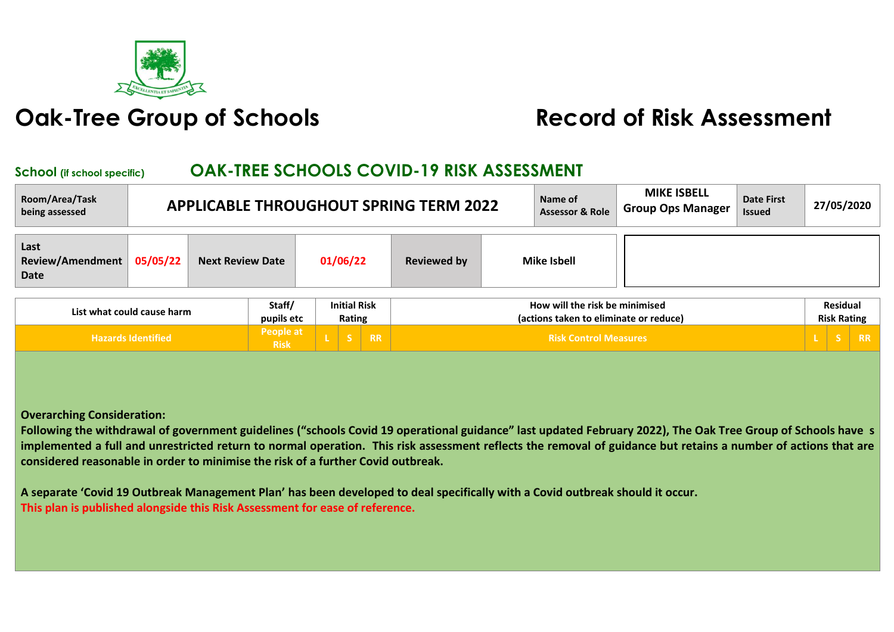

## **Oak-Tree Group of Schools Record of Risk Assessment**

## **School (if school specific) OAK-TREE SCHOOLS COVID-19 RISK ASSESSMENT**

| Room/Area/Task<br>being assessed        |          |                         |                          |                                             |         |           | <b>APPLICABLE THROUGHOUT SPRING TERM 2022</b> | Name of<br><b>Assessor &amp; Role</b>                                    | <b>MIKE ISBELL</b><br><b>Group Ops Manager</b> | <b>Date First</b><br><b>Issued</b> |                                | 27/05/2020 |
|-----------------------------------------|----------|-------------------------|--------------------------|---------------------------------------------|---------|-----------|-----------------------------------------------|--------------------------------------------------------------------------|------------------------------------------------|------------------------------------|--------------------------------|------------|
| Last<br><b>Review/Amendment</b><br>Date | 05/05/22 | <b>Next Review Date</b> |                          | 01/06/22                                    |         |           | <b>Reviewed by</b>                            | <b>Mike Isbell</b>                                                       |                                                |                                    |                                |            |
| List what could cause harm              |          |                         |                          | <b>Initial Risk</b><br>Rating<br>pupils etc |         |           |                                               | How will the risk be minimised<br>(actions taken to eliminate or reduce) |                                                |                                    | Residual<br><b>Risk Rating</b> |            |
| <b>Hazards Identified</b>               |          |                         | People at<br><b>Risk</b> |                                             | - S - I | <b>RR</b> |                                               | <b>Risk Control Measures</b>                                             |                                                |                                    | S.                             | RR         |

**Risk <sup>L</sup> <sup>S</sup> RR Risk Control Measures <sup>L</sup> <sup>S</sup> RR**

**Overarching Consideration:** 

**Following the withdrawal of government guidelines ("schools Covid 19 operational guidance" last updated February 2022), The Oak Tree Group of Schools have s implemented a full and unrestricted return to normal operation. This risk assessment reflects the removal of guidance but retains a number of actions that are considered reasonable in order to minimise the risk of a further Covid outbreak.**

**A separate 'Covid 19 Outbreak Management Plan' has been developed to deal specifically with a Covid outbreak should it occur. This plan is published alongside this Risk Assessment for ease of reference.**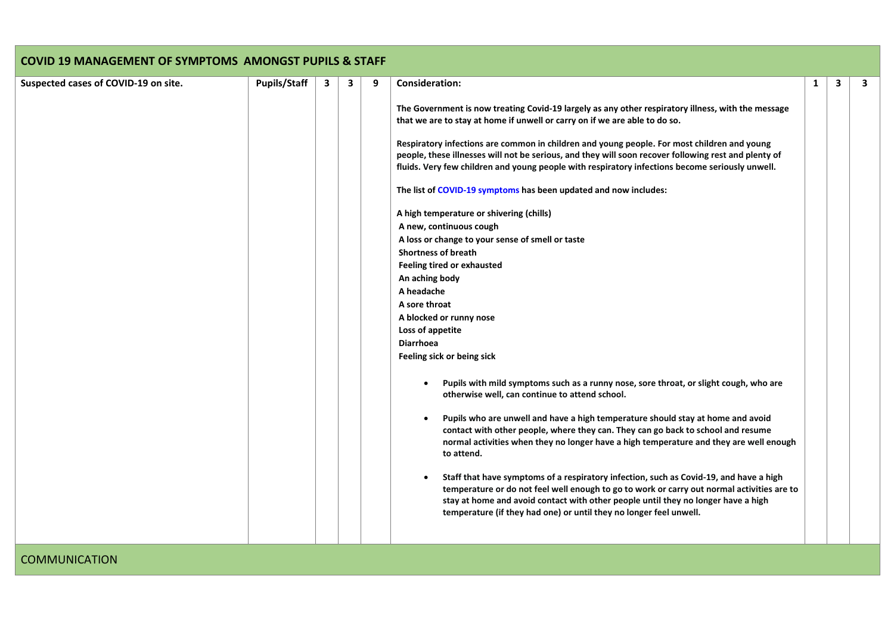| Suspected cases of COVID-19 on site. | <b>Pupils/Staff</b> | 3 | 3 | 9 | <b>Consideration:</b>                                                                                                                                                                                                                                                                                                                           | 1 | 3 |  |
|--------------------------------------|---------------------|---|---|---|-------------------------------------------------------------------------------------------------------------------------------------------------------------------------------------------------------------------------------------------------------------------------------------------------------------------------------------------------|---|---|--|
|                                      |                     |   |   |   | The Government is now treating Covid-19 largely as any other respiratory illness, with the message<br>that we are to stay at home if unwell or carry on if we are able to do so.                                                                                                                                                                |   |   |  |
|                                      |                     |   |   |   | Respiratory infections are common in children and young people. For most children and young<br>people, these illnesses will not be serious, and they will soon recover following rest and plenty of<br>fluids. Very few children and young people with respiratory infections become seriously unwell.                                          |   |   |  |
|                                      |                     |   |   |   | The list of COVID-19 symptoms has been updated and now includes:                                                                                                                                                                                                                                                                                |   |   |  |
|                                      |                     |   |   |   | A high temperature or shivering (chills)                                                                                                                                                                                                                                                                                                        |   |   |  |
|                                      |                     |   |   |   | A new, continuous cough                                                                                                                                                                                                                                                                                                                         |   |   |  |
|                                      |                     |   |   |   | A loss or change to your sense of smell or taste                                                                                                                                                                                                                                                                                                |   |   |  |
|                                      |                     |   |   |   | <b>Shortness of breath</b>                                                                                                                                                                                                                                                                                                                      |   |   |  |
|                                      |                     |   |   |   | <b>Feeling tired or exhausted</b>                                                                                                                                                                                                                                                                                                               |   |   |  |
|                                      |                     |   |   |   | An aching body                                                                                                                                                                                                                                                                                                                                  |   |   |  |
|                                      |                     |   |   |   | A headache                                                                                                                                                                                                                                                                                                                                      |   |   |  |
|                                      |                     |   |   |   | A sore throat                                                                                                                                                                                                                                                                                                                                   |   |   |  |
|                                      |                     |   |   |   | A blocked or runny nose                                                                                                                                                                                                                                                                                                                         |   |   |  |
|                                      |                     |   |   |   | Loss of appetite                                                                                                                                                                                                                                                                                                                                |   |   |  |
|                                      |                     |   |   |   | <b>Diarrhoea</b>                                                                                                                                                                                                                                                                                                                                |   |   |  |
|                                      |                     |   |   |   | Feeling sick or being sick                                                                                                                                                                                                                                                                                                                      |   |   |  |
|                                      |                     |   |   |   | Pupils with mild symptoms such as a runny nose, sore throat, or slight cough, who are<br>otherwise well, can continue to attend school.                                                                                                                                                                                                         |   |   |  |
|                                      |                     |   |   |   | Pupils who are unwell and have a high temperature should stay at home and avoid<br>contact with other people, where they can. They can go back to school and resume<br>normal activities when they no longer have a high temperature and they are well enough<br>to attend.                                                                     |   |   |  |
|                                      |                     |   |   |   | Staff that have symptoms of a respiratory infection, such as Covid-19, and have a high<br>temperature or do not feel well enough to go to work or carry out normal activities are to<br>stay at home and avoid contact with other people until they no longer have a high<br>temperature (if they had one) or until they no longer feel unwell. |   |   |  |

**COMMUNICATION**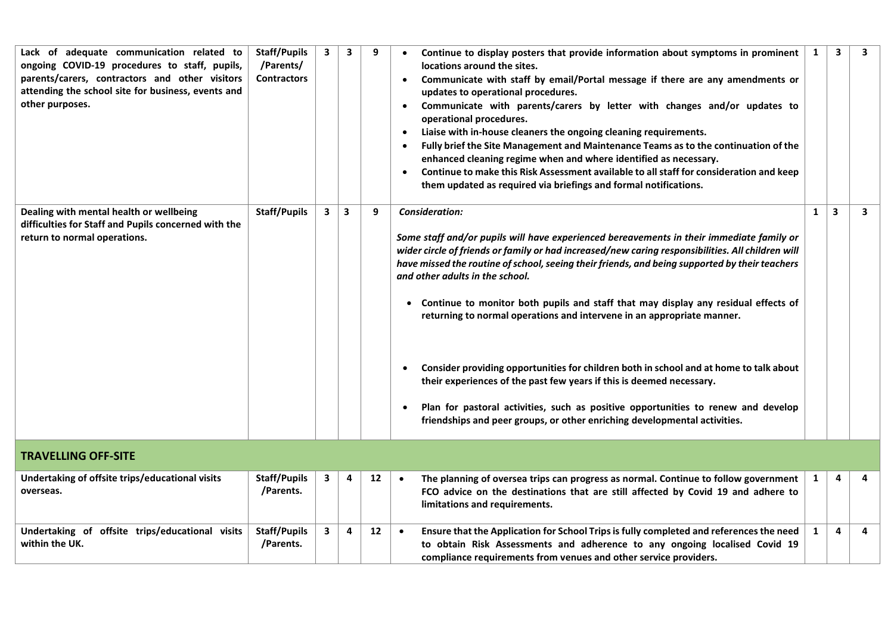| Lack of adequate communication related to<br>ongoing COVID-19 procedures to staff, pupils,<br>parents/carers, contractors and other visitors<br>attending the school site for business, events and<br>other purposes. | <b>Staff/Pupils</b><br>/Parents/<br><b>Contractors</b> | 3 | 3 | 9  | Continue to display posters that provide information about symptoms in prominent<br>locations around the sites.<br>Communicate with staff by email/Portal message if there are any amendments or<br>updates to operational procedures.<br>Communicate with parents/carers by letter with changes and/or updates to<br>$\bullet$<br>operational procedures.<br>Liaise with in-house cleaners the ongoing cleaning requirements.<br>$\bullet$<br>Fully brief the Site Management and Maintenance Teams as to the continuation of the<br>$\bullet$<br>enhanced cleaning regime when and where identified as necessary.<br>Continue to make this Risk Assessment available to all staff for consideration and keep<br>$\bullet$<br>them updated as required via briefings and formal notifications.                                                                                      | 1            | $\overline{\mathbf{3}}$ | 3 |
|-----------------------------------------------------------------------------------------------------------------------------------------------------------------------------------------------------------------------|--------------------------------------------------------|---|---|----|--------------------------------------------------------------------------------------------------------------------------------------------------------------------------------------------------------------------------------------------------------------------------------------------------------------------------------------------------------------------------------------------------------------------------------------------------------------------------------------------------------------------------------------------------------------------------------------------------------------------------------------------------------------------------------------------------------------------------------------------------------------------------------------------------------------------------------------------------------------------------------------|--------------|-------------------------|---|
| Dealing with mental health or wellbeing<br>difficulties for Staff and Pupils concerned with the<br>return to normal operations.                                                                                       | <b>Staff/Pupils</b>                                    | 3 | 3 | 9  | Consideration:<br>Some staff and/or pupils will have experienced bereavements in their immediate family or<br>wider circle of friends or family or had increased/new caring responsibilities. All children will<br>have missed the routine of school, seeing their friends, and being supported by their teachers<br>and other adults in the school.<br>• Continue to monitor both pupils and staff that may display any residual effects of<br>returning to normal operations and intervene in an appropriate manner.<br>Consider providing opportunities for children both in school and at home to talk about<br>$\bullet$<br>their experiences of the past few years if this is deemed necessary.<br>Plan for pastoral activities, such as positive opportunities to renew and develop<br>$\bullet$<br>friendships and peer groups, or other enriching developmental activities. | 1            | 3                       | 3 |
| <b>TRAVELLING OFF-SITE</b>                                                                                                                                                                                            |                                                        |   |   |    |                                                                                                                                                                                                                                                                                                                                                                                                                                                                                                                                                                                                                                                                                                                                                                                                                                                                                      |              |                         |   |
| Undertaking of offsite trips/educational visits<br>overseas.                                                                                                                                                          | <b>Staff/Pupils</b><br>/Parents.                       | 3 | 4 | 12 | The planning of oversea trips can progress as normal. Continue to follow government<br>$\bullet$<br>FCO advice on the destinations that are still affected by Covid 19 and adhere to<br>limitations and requirements.                                                                                                                                                                                                                                                                                                                                                                                                                                                                                                                                                                                                                                                                | $\mathbf{1}$ | 4                       | 4 |
| Undertaking of offsite trips/educational visits<br>within the UK.                                                                                                                                                     | <b>Staff/Pupils</b><br>/Parents.                       | 3 | 4 | 12 | Ensure that the Application for School Trips is fully completed and references the need<br>$\bullet$<br>to obtain Risk Assessments and adherence to any ongoing localised Covid 19<br>compliance requirements from venues and other service providers.                                                                                                                                                                                                                                                                                                                                                                                                                                                                                                                                                                                                                               | $\mathbf{1}$ | 4                       | 4 |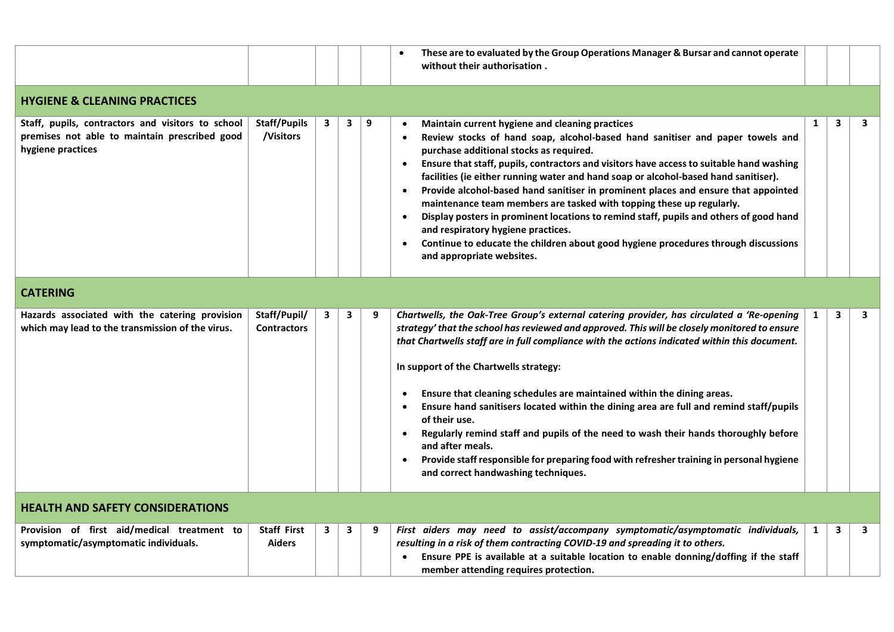|                                                                                                                         |                                     |              |                         |   | These are to evaluated by the Group Operations Manager & Bursar and cannot operate<br>$\bullet$<br>without their authorisation.                                                                                                                                                                                                                                                                                                                                                                                                                                                                                                                                                                                                                                                                                        |              |   |   |
|-------------------------------------------------------------------------------------------------------------------------|-------------------------------------|--------------|-------------------------|---|------------------------------------------------------------------------------------------------------------------------------------------------------------------------------------------------------------------------------------------------------------------------------------------------------------------------------------------------------------------------------------------------------------------------------------------------------------------------------------------------------------------------------------------------------------------------------------------------------------------------------------------------------------------------------------------------------------------------------------------------------------------------------------------------------------------------|--------------|---|---|
| <b>HYGIENE &amp; CLEANING PRACTICES</b>                                                                                 |                                     |              |                         |   |                                                                                                                                                                                                                                                                                                                                                                                                                                                                                                                                                                                                                                                                                                                                                                                                                        |              |   |   |
| Staff, pupils, contractors and visitors to school<br>premises not able to maintain prescribed good<br>hygiene practices | <b>Staff/Pupils</b><br>/Visitors    | $\mathbf{3}$ | $\overline{\mathbf{3}}$ | 9 | Maintain current hygiene and cleaning practices<br>Review stocks of hand soap, alcohol-based hand sanitiser and paper towels and<br>$\bullet$<br>purchase additional stocks as required.<br>Ensure that staff, pupils, contractors and visitors have access to suitable hand washing<br>$\bullet$<br>facilities (ie either running water and hand soap or alcohol-based hand sanitiser).<br>Provide alcohol-based hand sanitiser in prominent places and ensure that appointed<br>maintenance team members are tasked with topping these up regularly.<br>Display posters in prominent locations to remind staff, pupils and others of good hand<br>$\bullet$<br>and respiratory hygiene practices.<br>Continue to educate the children about good hygiene procedures through discussions<br>and appropriate websites. | $\mathbf{1}$ | 3 | 3 |
| <b>CATERING</b>                                                                                                         |                                     |              |                         |   |                                                                                                                                                                                                                                                                                                                                                                                                                                                                                                                                                                                                                                                                                                                                                                                                                        |              |   |   |
| Hazards associated with the catering provision<br>which may lead to the transmission of the virus.                      | Staff/Pupil/<br><b>Contractors</b>  | 3            | $\mathbf{3}$            | 9 | Chartwells, the Oak-Tree Group's external catering provider, has circulated a 'Re-opening<br>strategy' that the school has reviewed and approved. This will be closely monitored to ensure<br>that Chartwells staff are in full compliance with the actions indicated within this document.<br>In support of the Chartwells strategy:<br>Ensure that cleaning schedules are maintained within the dining areas.<br>Ensure hand sanitisers located within the dining area are full and remind staff/pupils<br>of their use.<br>Regularly remind staff and pupils of the need to wash their hands thoroughly before<br>and after meals.<br>Provide staff responsible for preparing food with refresher training in personal hygiene<br>$\bullet$<br>and correct handwashing techniques.                                  | 1            | 3 | 3 |
| <b>HEALTH AND SAFETY CONSIDERATIONS</b>                                                                                 |                                     |              |                         |   |                                                                                                                                                                                                                                                                                                                                                                                                                                                                                                                                                                                                                                                                                                                                                                                                                        |              |   |   |
| Provision of first aid/medical treatment to<br>symptomatic/asymptomatic individuals.                                    | <b>Staff First</b><br><b>Aiders</b> | $\mathbf{3}$ | 3                       | 9 | First aiders may need to assist/accompany symptomatic/asymptomatic individuals,<br>resulting in a risk of them contracting COVID-19 and spreading it to others.<br>Ensure PPE is available at a suitable location to enable donning/doffing if the staff<br>member attending requires protection.                                                                                                                                                                                                                                                                                                                                                                                                                                                                                                                      | $\mathbf{1}$ | 3 | 3 |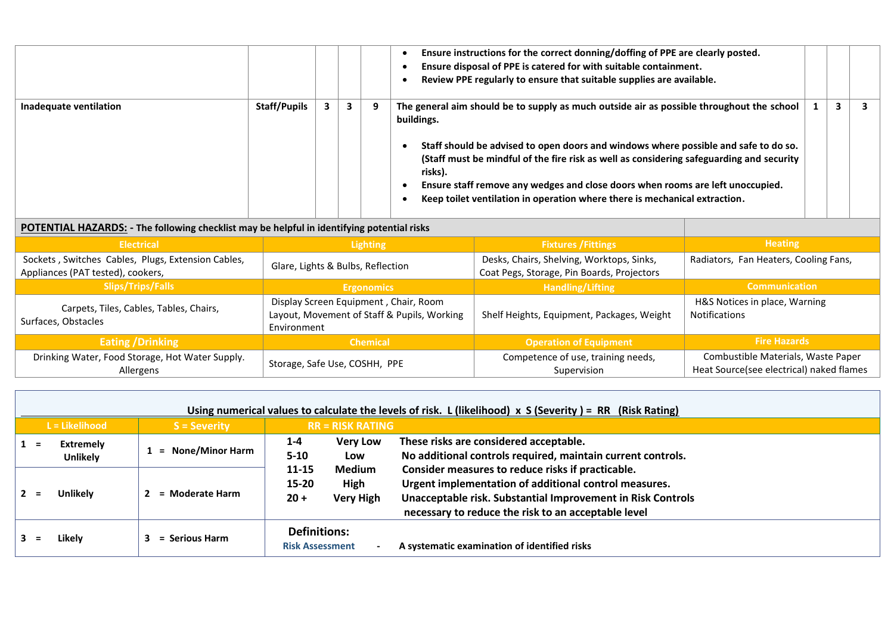|                                  |                                                                                            |  |   |                                              | Ensure instructions for the correct donning/doffing of PPE are clearly posted.<br>Ensure disposal of PPE is catered for with suitable containment.<br>Review PPE regularly to ensure that suitable supplies are available.                                                                                                                                                                                                                                            |  |   |  |  |
|----------------------------------|--------------------------------------------------------------------------------------------|--|---|----------------------------------------------|-----------------------------------------------------------------------------------------------------------------------------------------------------------------------------------------------------------------------------------------------------------------------------------------------------------------------------------------------------------------------------------------------------------------------------------------------------------------------|--|---|--|--|
| Inadequate ventilation           | <b>Staff/Pupils</b>                                                                        |  | 3 |                                              | The general aim should be to supply as much outside air as possible throughout the school<br>buildings.<br>Staff should be advised to open doors and windows where possible and safe to do so.<br>(Staff must be mindful of the fire risk as well as considering safeguarding and security<br>risks).<br>Ensure staff remove any wedges and close doors when rooms are left unoccupied.<br>Keep toilet ventilation in operation where there is mechanical extraction. |  | 3 |  |  |
|                                  | POTENTIAL HAZARDS: - The following checklist may be helpful in identifying potential risks |  |   |                                              |                                                                                                                                                                                                                                                                                                                                                                                                                                                                       |  |   |  |  |
| <b>The State of The Property</b> |                                                                                            |  |   | <b>The Secret Contract Contract Contract</b> | $H$ aatina<br><b>Charles Constantinople</b>                                                                                                                                                                                                                                                                                                                                                                                                                           |  |   |  |  |

| <b>Electrical</b>                                                                       | <b>Lighting</b>                                                                                     | <b>Fixtures / Fittings</b>                                                              | <b>Heating</b>                                                                 |
|-----------------------------------------------------------------------------------------|-----------------------------------------------------------------------------------------------------|-----------------------------------------------------------------------------------------|--------------------------------------------------------------------------------|
| Sockets, Switches Cables, Plugs, Extension Cables,<br>Appliances (PAT tested), cookers, | Glare, Lights & Bulbs, Reflection                                                                   | Desks, Chairs, Shelving, Worktops, Sinks,<br>Coat Pegs, Storage, Pin Boards, Projectors | Radiators, Fan Heaters, Cooling Fans,                                          |
| <b>Slips/Trips/Falls</b>                                                                | <b>Ergonomics</b>                                                                                   | <b>Handling/Lifting</b>                                                                 | <b>Communication</b>                                                           |
| Carpets, Tiles, Cables, Tables, Chairs,<br>Surfaces, Obstacles                          | Display Screen Equipment, Chair, Room<br>Layout, Movement of Staff & Pupils, Working<br>Environment | Shelf Heights, Equipment, Packages, Weight                                              | H&S Notices in place, Warning<br><b>Notifications</b>                          |
| <b>Eating / Drinking</b>                                                                | <b>Chemical</b>                                                                                     | <b>Operation of Equipment</b>                                                           | <b>Fire Hazards</b>                                                            |
| Drinking Water, Food Storage, Hot Water Supply.<br>Allergens                            | Storage, Safe Use, COSHH, PPE                                                                       | Competence of use, training needs,<br>Supervision                                       | Combustible Materials, Waste Paper<br>Heat Source(see electrical) naked flames |

|     | Using numerical values to calculate the levels of risk. L (likelihood) $\times$ S (Severity) = RR (Risk Rating) |                     |                                                                    |                                                                                                                                                                                                                                  |  |  |  |  |  |
|-----|-----------------------------------------------------------------------------------------------------------------|---------------------|--------------------------------------------------------------------|----------------------------------------------------------------------------------------------------------------------------------------------------------------------------------------------------------------------------------|--|--|--|--|--|
|     | $L =$ Likelihood                                                                                                | <b>S</b> = Severity | $RR = RISK RATING$                                                 |                                                                                                                                                                                                                                  |  |  |  |  |  |
|     | <b>Extremely</b><br><b>Unlikely</b>                                                                             | = None/Minor Harm   | <b>Very Low</b><br>$1 - 4$<br>$5-10$<br>Low                        | These risks are considered acceptable.<br>No additional controls required, maintain current controls.                                                                                                                            |  |  |  |  |  |
| $=$ | <b>Unlikely</b>                                                                                                 | = Moderate Harm     | 11-15<br>Medium<br>$15 - 20$<br>High<br><b>Very High</b><br>$20 +$ | Consider measures to reduce risks if practicable.<br>Urgent implementation of additional control measures.<br>Unacceptable risk. Substantial Improvement in Risk Controls<br>necessary to reduce the risk to an acceptable level |  |  |  |  |  |
|     | Likely                                                                                                          | = Serious Harm      | <b>Definitions:</b><br><b>Risk Assessment</b>                      | A systematic examination of identified risks                                                                                                                                                                                     |  |  |  |  |  |